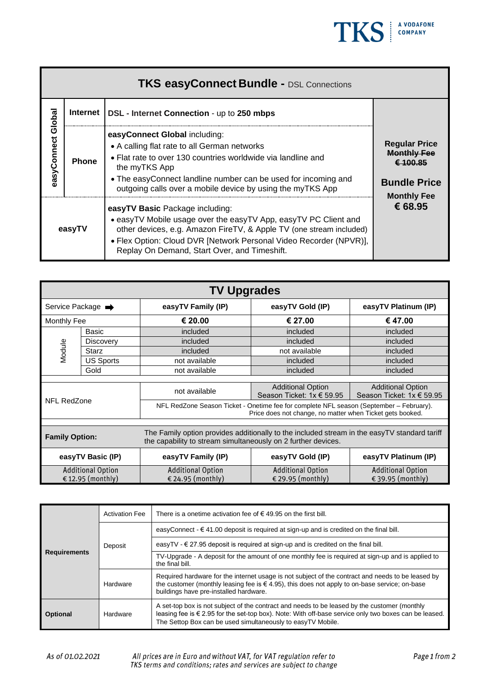

| <b>TKS easyConnect Bundle - DSL Connections</b> |              |                                                                                                                                                                                                                                                                                                 |                                                                               |  |  |  |
|-------------------------------------------------|--------------|-------------------------------------------------------------------------------------------------------------------------------------------------------------------------------------------------------------------------------------------------------------------------------------------------|-------------------------------------------------------------------------------|--|--|--|
| easyConnect Globa                               | Internet     | <b>DSL</b> - Internet Connection - up to 250 mbps                                                                                                                                                                                                                                               |                                                                               |  |  |  |
|                                                 | <b>Phone</b> | easyConnect Global including:<br>• A calling flat rate to all German networks<br>• Flat rate to over 130 countries worldwide via landline and<br>the myTKS App<br>• The easyConnect landline number can be used for incoming and<br>outgoing calls over a mobile device by using the myTKS App  | <b>Regular Price</b><br><b>Monthly Fee</b><br>£ 100.85<br><b>Bundle Price</b> |  |  |  |
| easyTV                                          |              | easyTV Basic Package including:<br>• easyTV Mobile usage over the easyTV App, easyTV PC Client and<br>other devices, e.g. Amazon FireTV, & Apple TV (one stream included)<br>• Flex Option: Cloud DVR [Network Personal Video Recorder (NPVR)],<br>Replay On Demand, Start Over, and Timeshift. | <b>Monthly Fee</b><br>€ 68.95                                                 |  |  |  |

| <b>TV Upgrades</b>                                                                                                                                                                     |                   |                                                                                                                                                      |                                                       |                                                       |  |
|----------------------------------------------------------------------------------------------------------------------------------------------------------------------------------------|-------------------|------------------------------------------------------------------------------------------------------------------------------------------------------|-------------------------------------------------------|-------------------------------------------------------|--|
| Service Package →                                                                                                                                                                      |                   | easyTV Family (IP)                                                                                                                                   | easyTV Gold (IP)                                      | easyTV Platinum (IP)                                  |  |
| <b>Monthly Fee</b>                                                                                                                                                                     |                   | € 20.00                                                                                                                                              | € 27.00                                               | € 47.00                                               |  |
|                                                                                                                                                                                        | <b>Basic</b>      | included                                                                                                                                             | included                                              | included                                              |  |
|                                                                                                                                                                                        | <b>Discovery</b>  | included                                                                                                                                             | included                                              | included                                              |  |
| Module                                                                                                                                                                                 | <b>Starz</b>      | included                                                                                                                                             | not available                                         | included                                              |  |
|                                                                                                                                                                                        | <b>US Sports</b>  | not available                                                                                                                                        | included                                              | included                                              |  |
|                                                                                                                                                                                        | Gold              | not available                                                                                                                                        | included                                              | included                                              |  |
|                                                                                                                                                                                        |                   |                                                                                                                                                      |                                                       |                                                       |  |
| NFL RedZone                                                                                                                                                                            |                   | not available                                                                                                                                        | <b>Additional Option</b><br>Season Ticket: 1x € 59.95 | <b>Additional Option</b><br>Season Ticket: 1x € 59.95 |  |
|                                                                                                                                                                                        |                   | NFL RedZone Season Ticket - Onetime fee for complete NFL season (September - February).<br>Price does not change, no matter when Ticket gets booked. |                                                       |                                                       |  |
|                                                                                                                                                                                        |                   |                                                                                                                                                      |                                                       |                                                       |  |
| The Family option provides additionally to the included stream in the easyTV standard tariff<br><b>Family Option:</b><br>the capability to stream simultaneously on 2 further devices. |                   |                                                                                                                                                      |                                                       |                                                       |  |
|                                                                                                                                                                                        | easyTV Basic (IP) | easyTV Family (IP)                                                                                                                                   | easyTV Gold (IP)                                      | easyTV Platinum (IP)                                  |  |
| <b>Additional Option</b>                                                                                                                                                               |                   | <b>Additional Option</b>                                                                                                                             | <b>Additional Option</b>                              | <b>Additional Option</b>                              |  |
| €12.95 (monthly)                                                                                                                                                                       |                   | € 24.95 (monthly)                                                                                                                                    | € 29.95 (monthly)                                     | € 39.95 (monthly)                                     |  |

|                             | <b>Activation Fee</b> | There is a onetime activation fee of $\epsilon$ 49.95 on the first bill.                                                                                                                                                                                                      |  |
|-----------------------------|-----------------------|-------------------------------------------------------------------------------------------------------------------------------------------------------------------------------------------------------------------------------------------------------------------------------|--|
|                             | Deposit               | easyConnect - € 41.00 deposit is required at sign-up and is credited on the final bill.                                                                                                                                                                                       |  |
|                             |                       | easyTV - $\in$ 27.95 deposit is required at sign-up and is credited on the final bill.                                                                                                                                                                                        |  |
| <b>Requirements</b>         |                       | TV-Upgrade - A deposit for the amount of one monthly fee is required at sign-up and is applied to<br>the final bill.                                                                                                                                                          |  |
|                             | Hardware              | Required hardware for the internet usage is not subject of the contract and needs to be leased by<br>the customer (monthly leasing fee is $\in$ 4.95), this does not apply to on-base service; on-base<br>buildings have pre-installed hardware.                              |  |
| Hardware<br><b>Optional</b> |                       | A set-top box is not subject of the contract and needs to be leased by the customer (monthly<br>leasing fee is $\epsilon$ 2.95 for the set-top box). Note: With off-base service only two boxes can be leased.<br>The Settop Box can be used simultaneously to easyTV Mobile. |  |